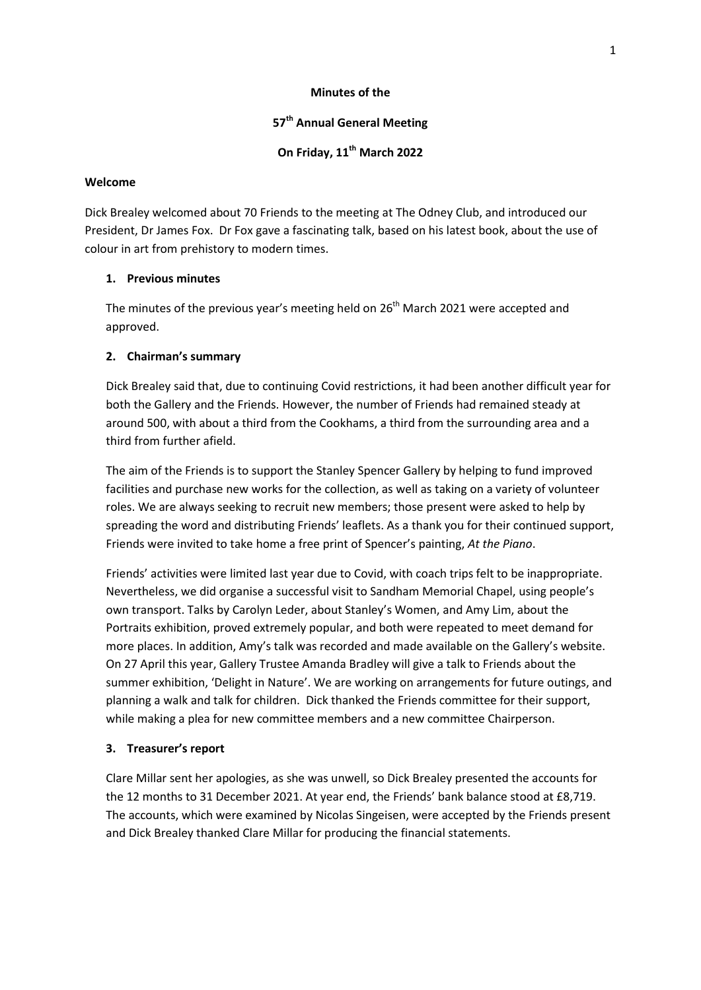#### **Minutes of the**

## **57 th Annual General Meeting**

# **On Friday, 11th March 2022**

## **Welcome**

Dick Brealey welcomed about 70 Friends to the meeting at The Odney Club, and introduced our President, Dr James Fox. Dr Fox gave a fascinating talk, based on his latest book, about the use of colour in art from prehistory to modern times.

## **1. Previous minutes**

The minutes of the previous year's meeting held on  $26<sup>th</sup>$  March 2021 were accepted and approved.

## **2. Chairman's summary**

Dick Brealey said that, due to continuing Covid restrictions, it had been another difficult year for both the Gallery and the Friends. However, the number of Friends had remained steady at around 500, with about a third from the Cookhams, a third from the surrounding area and a third from further afield.

The aim of the Friends is to support the Stanley Spencer Gallery by helping to fund improved facilities and purchase new works for the collection, as well as taking on a variety of volunteer roles. We are always seeking to recruit new members; those present were asked to help by spreading the word and distributing Friends' leaflets. As a thank you for their continued support, Friends were invited to take home a free print of Spencer's painting, *At the Piano*.

Friends' activities were limited last year due to Covid, with coach trips felt to be inappropriate. Nevertheless, we did organise a successful visit to Sandham Memorial Chapel, using people's own transport. Talks by Carolyn Leder, about Stanley's Women, and Amy Lim, about the Portraits exhibition, proved extremely popular, and both were repeated to meet demand for more places. In addition, Amy's talk was recorded and made available on the Gallery's website. On 27 April this year, Gallery Trustee Amanda Bradley will give a talk to Friends about the summer exhibition, 'Delight in Nature'. We are working on arrangements for future outings, and planning a walk and talk for children. Dick thanked the Friends committee for their support, while making a plea for new committee members and a new committee Chairperson.

## **3. Treasurer's report**

Clare Millar sent her apologies, as she was unwell, so Dick Brealey presented the accounts for the 12 months to 31 December 2021. At year end, the Friends' bank balance stood at £8,719. The accounts, which were examined by Nicolas Singeisen, were accepted by the Friends present and Dick Brealey thanked Clare Millar for producing the financial statements.